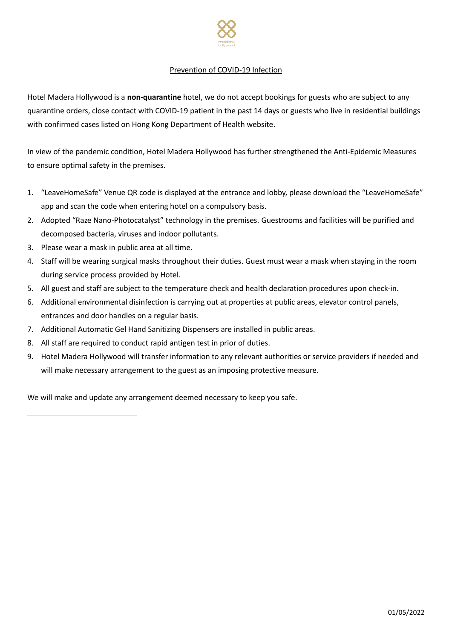

## Prevention of COVID-19 Infection

Hotel Madera Hollywood is a **non-quarantine** hotel, we do not accept bookings for guests who are subject to any quarantine orders, close contact with COVID-19 patient in the past 14 days or guests who live in residential buildings with confirmed cases listed on Hong Kong Department of Health website.

In view of the pandemic condition, Hotel Madera Hollywood has further strengthened the Anti-Epidemic Measures to ensure optimal safety in the premises.

- 1. "LeaveHomeSafe" Venue QR code is displayed at the entrance and lobby, please download the "LeaveHomeSafe" app and scan the code when entering hotel on a compulsory basis.
- 2. Adopted "Raze Nano-Photocatalyst" technology in the premises. Guestrooms and facilities will be purified and decomposed bacteria, viruses and indoor pollutants.
- 3. Please wear a mask in public area at all time.
- 4. Staff will be wearing surgical masks throughout their duties. Guest must wear a mask when staying in the room during service process provided by Hotel.
- 5. All guest and staff are subject to the temperature check and health declaration procedures upon check-in.
- 6. Additional environmental disinfection is carrying out at properties at public areas, elevator control panels, entrances and door handles on a regular basis.
- 7. Additional Automatic Gel Hand Sanitizing Dispensers are installed in public areas.
- 8. All staff are required to conduct rapid antigen test in prior of duties.
- 9. Hotel Madera Hollywood will transfer information to any relevant authorities or service providers if needed and will make necessary arrangement to the guest as an imposing protective measure.

We will make and update any arrangement deemed necessary to keep you safe.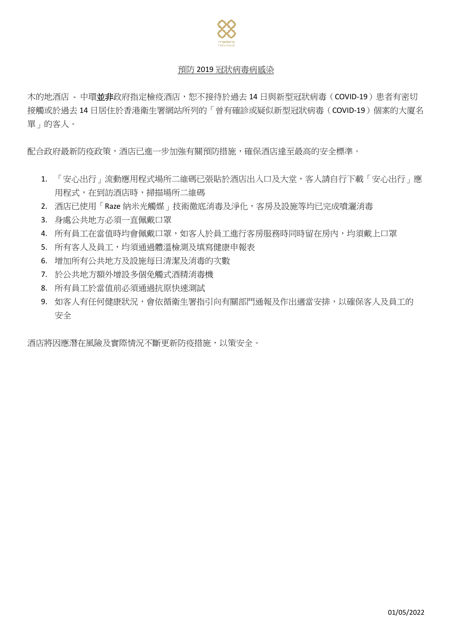

## 預防 2019 冠狀病毒病感染

木的地酒店 - 中環並非政府指定檢疫酒店,恕不接待於過去 14 日與新型冠狀病毒 (COVID-19)患者有密切 接觸或於過去 14 日居住於香港衛生署網站所列的「曾有確診或疑似新型冠狀病毒(COVID-19)個案的大廈名 單」的客人。

配合政府最新防疫政策,酒店已進一步加強有關預防措施,確保酒店達至最高的安全標準。

- 1. 「安心出行」流動應用程式場所二維碼已張貼於酒店出入口及大堂,客人請自行下載「安心出行」應 用程式,在到訪酒店時,掃描場所二維碼
- 2. 酒店已使用「Raze 納米光觸媒」技術徹底消毒及淨化,客房及設施等均已完成噴灑消毒
- 3. 身處公共地方必須一直佩戴口罩
- 4. 所有員工在當值時均會佩戴口罩,如客人於員工進行客房服務時同時留在房內,均須戴上口罩
- 5. 所有客人及員工,均須通過體溫檢測及填寫健康申報表
- 6. 增加所有公共地方及設施每日清潔及消毒的次數
- 7. 於公共地方額外增設多個免觸式酒精消毒機
- 8. 所有員工於當值前必須通過抗原快速測試
- 9. 如客人有任何健康狀況,會依循衛生署指引向有關部門通報及作出適當安排,以確保客人及員工的 安全

酒店將因應潛在風險及實際情況不斷更新防疫措施,以策安全。